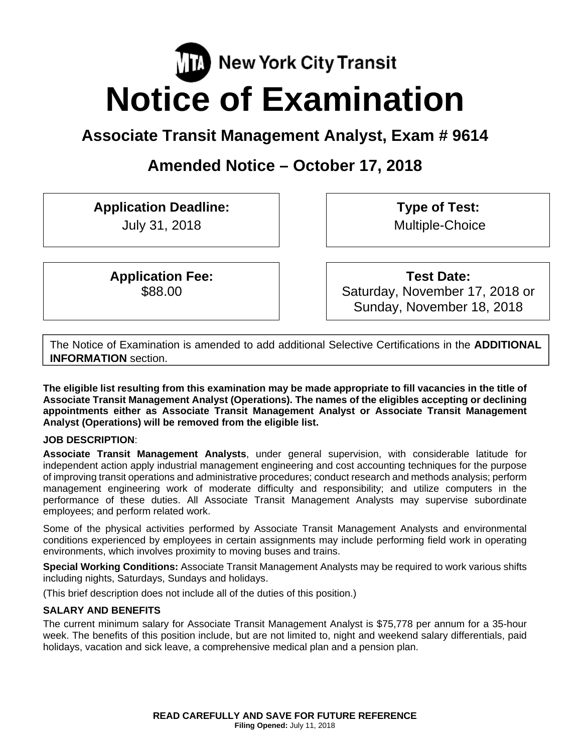# **TA** New York City Transit **Notice of Examination**

# **Associate Transit Management Analyst, Exam # 9614**

# **Amended Notice – October 17, 2018**

**Application Deadline:** 

July 31, 2018

**Application Fee:**  \$88.00

**Type of Test:**  Multiple-Choice

**Test Date:** Saturday, November 17, 2018 or Sunday, November 18, 2018

The Notice of Examination is amended to add additional Selective Certifications in the **ADDITIONAL INFORMATION** section.

**The eligible list resulting from this examination may be made appropriate to fill vacancies in the title of Associate Transit Management Analyst (Operations). The names of the eligibles accepting or declining appointments either as Associate Transit Management Analyst or Associate Transit Management Analyst (Operations) will be removed from the eligible list.** 

# **JOB DESCRIPTION**:

**Associate Transit Management Analysts**, under general supervision, with considerable latitude for independent action apply industrial management engineering and cost accounting techniques for the purpose of improving transit operations and administrative procedures; conduct research and methods analysis; perform management engineering work of moderate difficulty and responsibility; and utilize computers in the performance of these duties. All Associate Transit Management Analysts may supervise subordinate employees; and perform related work.

Some of the physical activities performed by Associate Transit Management Analysts and environmental conditions experienced by employees in certain assignments may include performing field work in operating environments, which involves proximity to moving buses and trains.

**Special Working Conditions:** Associate Transit Management Analysts may be required to work various shifts including nights, Saturdays, Sundays and holidays.

(This brief description does not include all of the duties of this position.)

# **SALARY AND BENEFITS**

The current minimum salary for Associate Transit Management Analyst is \$75,778 per annum for a 35-hour week. The benefits of this position include, but are not limited to, night and weekend salary differentials, paid holidays, vacation and sick leave, a comprehensive medical plan and a pension plan.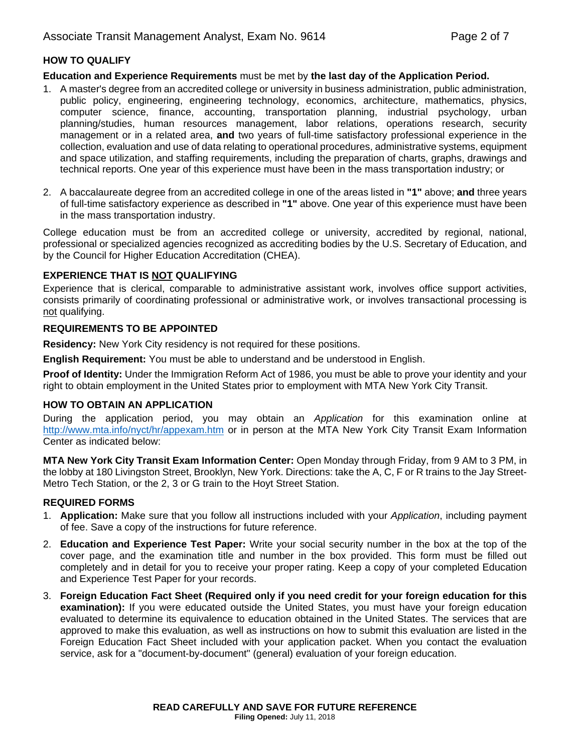## **HOW TO QUALIFY**

#### **Education and Experience Requirements** must be met by **the last day of the Application Period.**

- 1. A master's degree from an accredited college or university in business administration, public administration, public policy, engineering, engineering technology, economics, architecture, mathematics, physics, computer science, finance, accounting, transportation planning, industrial psychology, urban planning/studies, human resources management, labor relations, operations research, security management or in a related area, **and** two years of full-time satisfactory professional experience in the collection, evaluation and use of data relating to operational procedures, administrative systems, equipment and space utilization, and staffing requirements, including the preparation of charts, graphs, drawings and technical reports. One year of this experience must have been in the mass transportation industry; or
- 2. A baccalaureate degree from an accredited college in one of the areas listed in **"1"** above; **and** three years of full-time satisfactory experience as described in **"1"** above. One year of this experience must have been in the mass transportation industry.

College education must be from an accredited college or university, accredited by regional, national, professional or specialized agencies recognized as accrediting bodies by the U.S. Secretary of Education, and by the Council for Higher Education Accreditation (CHEA).

#### **EXPERIENCE THAT IS NOT QUALIFYING**

Experience that is clerical, comparable to administrative assistant work, involves office support activities, consists primarily of coordinating professional or administrative work, or involves transactional processing is not qualifying.

#### **REQUIREMENTS TO BE APPOINTED**

**Residency:** New York City residency is not required for these positions.

**English Requirement:** You must be able to understand and be understood in English.

**Proof of Identity:** Under the Immigration Reform Act of 1986, you must be able to prove your identity and your right to obtain employment in the United States prior to employment with MTA New York City Transit.

#### **HOW TO OBTAIN AN APPLICATION**

During the application period, you may obtain an *Application* for this examination online at http://www.mta.info/nyct/hr/appexam.htm or in person at the MTA New York City Transit Exam Information Center as indicated below:

**MTA New York City Transit Exam Information Center:** Open Monday through Friday, from 9 AM to 3 PM, in the lobby at 180 Livingston Street, Brooklyn, New York. Directions: take the A, C, F or R trains to the Jay Street-Metro Tech Station, or the 2, 3 or G train to the Hoyt Street Station.

#### **REQUIRED FORMS**

- 1. **Application:** Make sure that you follow all instructions included with your *Application*, including payment of fee. Save a copy of the instructions for future reference.
- 2. **Education and Experience Test Paper:** Write your social security number in the box at the top of the cover page, and the examination title and number in the box provided. This form must be filled out completely and in detail for you to receive your proper rating. Keep a copy of your completed Education and Experience Test Paper for your records.
- 3. **Foreign Education Fact Sheet (Required only if you need credit for your foreign education for this examination):** If you were educated outside the United States, you must have your foreign education evaluated to determine its equivalence to education obtained in the United States. The services that are approved to make this evaluation, as well as instructions on how to submit this evaluation are listed in the Foreign Education Fact Sheet included with your application packet. When you contact the evaluation service, ask for a "document-by-document" (general) evaluation of your foreign education.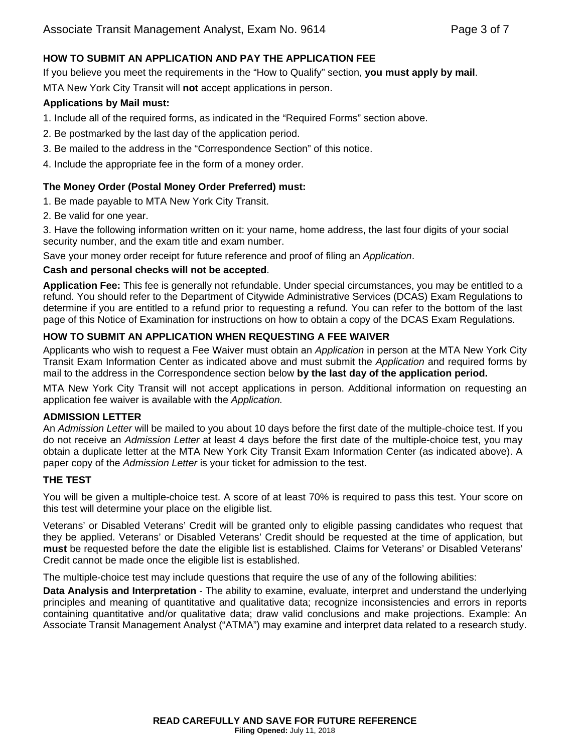#### **HOW TO SUBMIT AN APPLICATION AND PAY THE APPLICATION FEE**

If you believe you meet the requirements in the "How to Qualify" section, **you must apply by mail**. MTA New York City Transit will **not** accept applications in person.

#### **Applications by Mail must:**

- 1. Include all of the required forms, as indicated in the "Required Forms" section above.
- 2. Be postmarked by the last day of the application period.
- 3. Be mailed to the address in the "Correspondence Section" of this notice.
- 4. Include the appropriate fee in the form of a money order.

#### **The Money Order (Postal Money Order Preferred) must:**

- 1. Be made payable to MTA New York City Transit.
- 2. Be valid for one year.

3. Have the following information written on it: your name, home address, the last four digits of your social security number, and the exam title and exam number.

Save your money order receipt for future reference and proof of filing an *Application*.

#### **Cash and personal checks will not be accepted**.

**Application Fee:** This fee is generally not refundable. Under special circumstances, you may be entitled to a refund. You should refer to the Department of Citywide Administrative Services (DCAS) Exam Regulations to determine if you are entitled to a refund prior to requesting a refund. You can refer to the bottom of the last page of this Notice of Examination for instructions on how to obtain a copy of the DCAS Exam Regulations.

### **HOW TO SUBMIT AN APPLICATION WHEN REQUESTING A FEE WAIVER**

Applicants who wish to request a Fee Waiver must obtain an *Application* in person at the MTA New York City Transit Exam Information Center as indicated above and must submit the *Application* and required forms by mail to the address in the Correspondence section below **by the last day of the application period.** 

MTA New York City Transit will not accept applications in person. Additional information on requesting an application fee waiver is available with the *Application.*

#### **ADMISSION LETTER**

An *Admission Letter* will be mailed to you about 10 days before the first date of the multiple-choice test. If you do not receive an *Admission Letter* at least 4 days before the first date of the multiple-choice test, you may obtain a duplicate letter at the MTA New York City Transit Exam Information Center (as indicated above). A paper copy of the *Admission Letter* is your ticket for admission to the test.

#### **THE TEST**

You will be given a multiple-choice test. A score of at least 70% is required to pass this test. Your score on this test will determine your place on the eligible list.

Veterans' or Disabled Veterans' Credit will be granted only to eligible passing candidates who request that they be applied. Veterans' or Disabled Veterans' Credit should be requested at the time of application, but **must** be requested before the date the eligible list is established. Claims for Veterans' or Disabled Veterans' Credit cannot be made once the eligible list is established.

The multiple-choice test may include questions that require the use of any of the following abilities:

**Data Analysis and Interpretation** - The ability to examine, evaluate, interpret and understand the underlying principles and meaning of quantitative and qualitative data; recognize inconsistencies and errors in reports containing quantitative and/or qualitative data; draw valid conclusions and make projections. Example: An Associate Transit Management Analyst ("ATMA") may examine and interpret data related to a research study.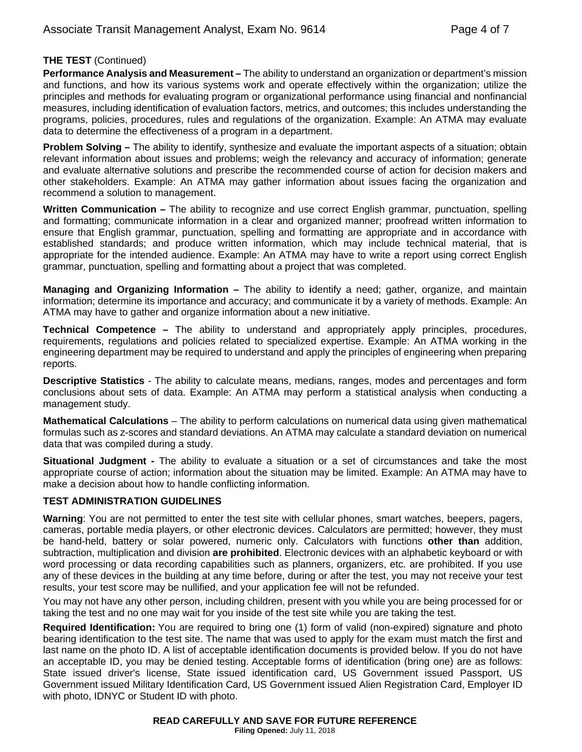### **THE TEST** (Continued)

**Performance Analysis and Measurement –** The ability to understand an organization or department's mission and functions, and how its various systems work and operate effectively within the organization; utilize the principles and methods for evaluating program or organizational performance using financial and nonfinancial measures, including identification of evaluation factors, metrics, and outcomes; this includes understanding the programs, policies, procedures, rules and regulations of the organization. Example: An ATMA may evaluate data to determine the effectiveness of a program in a department.

**Problem Solving –** The ability to identify, synthesize and evaluate the important aspects of a situation; obtain relevant information about issues and problems; weigh the relevancy and accuracy of information; generate and evaluate alternative solutions and prescribe the recommended course of action for decision makers and other stakeholders. Example: An ATMA may gather information about issues facing the organization and recommend a solution to management.

**Written Communication –** The ability to recognize and use correct English grammar, punctuation, spelling and formatting; communicate information in a clear and organized manner; proofread written information to ensure that English grammar, punctuation, spelling and formatting are appropriate and in accordance with established standards; and produce written information, which may include technical material, that is appropriate for the intended audience. Example: An ATMA may have to write a report using correct English grammar, punctuation, spelling and formatting about a project that was completed.

**Managing and Organizing Information –** The ability to **i**dentify a need; gather, organize, and maintain information; determine its importance and accuracy; and communicate it by a variety of methods. Example: An ATMA may have to gather and organize information about a new initiative.

**Technical Competence –** The ability to understand and appropriately apply principles, procedures, requirements, regulations and policies related to specialized expertise. Example: An ATMA working in the engineering department may be required to understand and apply the principles of engineering when preparing reports.

**Descriptive Statistics** - The ability to calculate means, medians, ranges, modes and percentages and form conclusions about sets of data. Example: An ATMA may perform a statistical analysis when conducting a management study.

**Mathematical Calculations** – The ability to perform calculations on numerical data using given mathematical formulas such as z-scores and standard deviations. An ATMA may calculate a standard deviation on numerical data that was compiled during a study.

**Situational Judgment -** The ability to evaluate a situation or a set of circumstances and take the most appropriate course of action; information about the situation may be limited. Example: An ATMA may have to make a decision about how to handle conflicting information.

### **TEST ADMINISTRATION GUIDELINES**

**Warning**: You are not permitted to enter the test site with cellular phones, smart watches, beepers, pagers, cameras, portable media players, or other electronic devices. Calculators are permitted; however, they must be hand-held, battery or solar powered, numeric only. Calculators with functions **other than** addition, subtraction, multiplication and division **are prohibited**. Electronic devices with an alphabetic keyboard or with word processing or data recording capabilities such as planners, organizers, etc. are prohibited. If you use any of these devices in the building at any time before, during or after the test, you may not receive your test results, your test score may be nullified, and your application fee will not be refunded.

You may not have any other person, including children, present with you while you are being processed for or taking the test and no one may wait for you inside of the test site while you are taking the test.

**Required Identification:** You are required to bring one (1) form of valid (non-expired) signature and photo bearing identification to the test site. The name that was used to apply for the exam must match the first and last name on the photo ID. A list of acceptable identification documents is provided below. If you do not have an acceptable ID, you may be denied testing. Acceptable forms of identification (bring one) are as follows: State issued driver's license, State issued identification card, US Government issued Passport, US Government issued Military Identification Card, US Government issued Alien Registration Card, Employer ID with photo, IDNYC or Student ID with photo.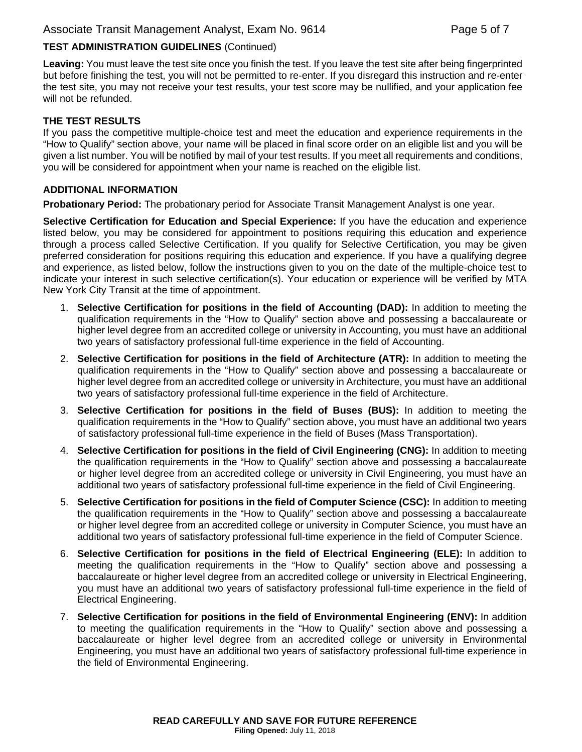## **TEST ADMINISTRATION GUIDELINES** (Continued)

**Leaving:** You must leave the test site once you finish the test. If you leave the test site after being fingerprinted but before finishing the test, you will not be permitted to re-enter. If you disregard this instruction and re-enter the test site, you may not receive your test results, your test score may be nullified, and your application fee will not be refunded.

#### **THE TEST RESULTS**

If you pass the competitive multiple-choice test and meet the education and experience requirements in the "How to Qualify" section above, your name will be placed in final score order on an eligible list and you will be given a list number. You will be notified by mail of your test results. If you meet all requirements and conditions, you will be considered for appointment when your name is reached on the eligible list.

#### **ADDITIONAL INFORMATION**

**Probationary Period:** The probationary period for Associate Transit Management Analyst is one year.

**Selective Certification for Education and Special Experience:** If you have the education and experience listed below, you may be considered for appointment to positions requiring this education and experience through a process called Selective Certification. If you qualify for Selective Certification, you may be given preferred consideration for positions requiring this education and experience. If you have a qualifying degree and experience, as listed below, follow the instructions given to you on the date of the multiple-choice test to indicate your interest in such selective certification(s). Your education or experience will be verified by MTA New York City Transit at the time of appointment.

- 1. **Selective Certification for positions in the field of Accounting (DAD):** In addition to meeting the qualification requirements in the "How to Qualify" section above and possessing a baccalaureate or higher level degree from an accredited college or university in Accounting, you must have an additional two years of satisfactory professional full-time experience in the field of Accounting.
- 2. **Selective Certification for positions in the field of Architecture (ATR):** In addition to meeting the qualification requirements in the "How to Qualify" section above and possessing a baccalaureate or higher level degree from an accredited college or university in Architecture, you must have an additional two years of satisfactory professional full-time experience in the field of Architecture.
- 3. **Selective Certification for positions in the field of Buses (BUS):** In addition to meeting the qualification requirements in the "How to Qualify" section above, you must have an additional two years of satisfactory professional full-time experience in the field of Buses (Mass Transportation).
- 4. **Selective Certification for positions in the field of Civil Engineering (CNG):** In addition to meeting the qualification requirements in the "How to Qualify" section above and possessing a baccalaureate or higher level degree from an accredited college or university in Civil Engineering, you must have an additional two years of satisfactory professional full-time experience in the field of Civil Engineering.
- 5. **Selective Certification for positions in the field of Computer Science (CSC):** In addition to meeting the qualification requirements in the "How to Qualify" section above and possessing a baccalaureate or higher level degree from an accredited college or university in Computer Science, you must have an additional two years of satisfactory professional full-time experience in the field of Computer Science.
- 6. **Selective Certification for positions in the field of Electrical Engineering (ELE):** In addition to meeting the qualification requirements in the "How to Qualify" section above and possessing a baccalaureate or higher level degree from an accredited college or university in Electrical Engineering, you must have an additional two years of satisfactory professional full-time experience in the field of Electrical Engineering.
- 7. **Selective Certification for positions in the field of Environmental Engineering (ENV):** In addition to meeting the qualification requirements in the "How to Qualify" section above and possessing a baccalaureate or higher level degree from an accredited college or university in Environmental Engineering, you must have an additional two years of satisfactory professional full-time experience in the field of Environmental Engineering.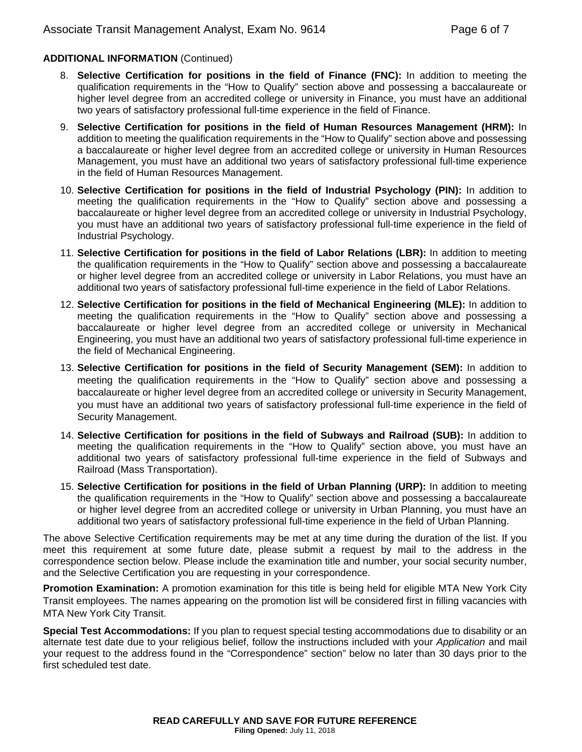#### **ADDITIONAL INFORMATION** (Continued)

- 8. **Selective Certification for positions in the field of Finance (FNC):** In addition to meeting the qualification requirements in the "How to Qualify" section above and possessing a baccalaureate or higher level degree from an accredited college or university in Finance, you must have an additional two years of satisfactory professional full-time experience in the field of Finance.
- 9. **Selective Certification for positions in the field of Human Resources Management (HRM):** In addition to meeting the qualification requirements in the "How to Qualify" section above and possessing a baccalaureate or higher level degree from an accredited college or university in Human Resources Management, you must have an additional two years of satisfactory professional full-time experience in the field of Human Resources Management.
- 10. **Selective Certification for positions in the field of Industrial Psychology (PIN):** In addition to meeting the qualification requirements in the "How to Qualify" section above and possessing a baccalaureate or higher level degree from an accredited college or university in Industrial Psychology, you must have an additional two years of satisfactory professional full-time experience in the field of Industrial Psychology.
- 11. **Selective Certification for positions in the field of Labor Relations (LBR):** In addition to meeting the qualification requirements in the "How to Qualify" section above and possessing a baccalaureate or higher level degree from an accredited college or university in Labor Relations, you must have an additional two years of satisfactory professional full-time experience in the field of Labor Relations.
- 12. **Selective Certification for positions in the field of Mechanical Engineering (MLE):** In addition to meeting the qualification requirements in the "How to Qualify" section above and possessing a baccalaureate or higher level degree from an accredited college or university in Mechanical Engineering, you must have an additional two years of satisfactory professional full-time experience in the field of Mechanical Engineering.
- 13. **Selective Certification for positions in the field of Security Management (SEM):** In addition to meeting the qualification requirements in the "How to Qualify" section above and possessing a baccalaureate or higher level degree from an accredited college or university in Security Management, you must have an additional two years of satisfactory professional full-time experience in the field of Security Management.
- 14. **Selective Certification for positions in the field of Subways and Railroad (SUB):** In addition to meeting the qualification requirements in the "How to Qualify" section above, you must have an additional two years of satisfactory professional full-time experience in the field of Subways and Railroad (Mass Transportation).
- 15. **Selective Certification for positions in the field of Urban Planning (URP):** In addition to meeting the qualification requirements in the "How to Qualify" section above and possessing a baccalaureate or higher level degree from an accredited college or university in Urban Planning, you must have an additional two years of satisfactory professional full-time experience in the field of Urban Planning.

The above Selective Certification requirements may be met at any time during the duration of the list. If you meet this requirement at some future date, please submit a request by mail to the address in the correspondence section below. Please include the examination title and number, your social security number, and the Selective Certification you are requesting in your correspondence.

**Promotion Examination:** A promotion examination for this title is being held for eligible MTA New York City Transit employees. The names appearing on the promotion list will be considered first in filling vacancies with MTA New York City Transit.

**Special Test Accommodations:** If you plan to request special testing accommodations due to disability or an alternate test date due to your religious belief, follow the instructions included with your *Application* and mail your request to the address found in the "Correspondence" section" below no later than 30 days prior to the first scheduled test date.